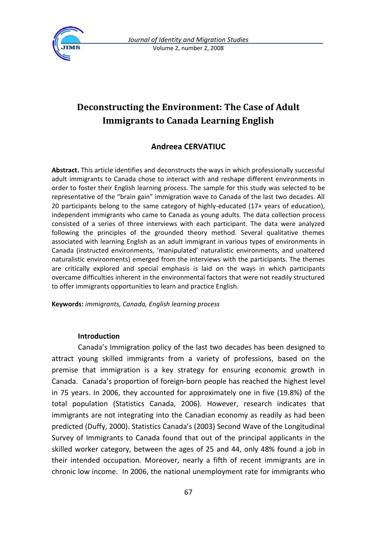

# **Deconstructing the Environment: The Case of Adult Immigrants to Canada Learning English**

# **Andreea CERVATIUC**

**Abstract.** This article identifies and deconstructs the ways in which professionally successful adult immigrants to Canada chose to interact with and reshape different environments in order to foster their English learning process. The sample for this study was selected to be representative of the "brain gain" immigration wave to Canada of the last two decades. All 20 participants belong to the same category of highly-educated (17+ years of education), independent immigrants who came to Canada as young adults. The data collection process consisted of a series of three interviews with each participant. The data were analyzed following the principles of the grounded theory method. Several qualitative themes associated with learning English as an adult immigrant in various types of environments in Canada (instructed environments, 'manipulated' naturalistic environments, and unaltered naturalistic environments) emerged from the interviews with the participants. The themes are critically explored and special emphasis is laid on the ways in which participants overcame difficulties inherent in the environmental factors that were not readily structured to offer immigrants opportunities to learn and practice English.

**Keywords:** *immigrants, Canada, English learning process*

### **Introduction**

Canada's Immigration policy of the last two decades has been designed to attract young skilled immigrants from a variety of professions, based on the premise that immigration is a key strategy for ensuring economic growth in Canada. Canada's proportion of foreign-born people has reached the highest level in 75 years. In 2006, they accounted for approximately one in five (19.8%) of the total population (Statistics Canada, 2006). However, research indicates that immigrants are not integrating into the Canadian economy as readily as had been predicted (Duffy, 2000). Statistics Canada's (2003) Second Wave of the Longitudinal Survey of Immigrants to Canada found that out of the principal applicants in the skilled worker category, between the ages of 25 and 44, only 48% found a job in their intended occupation. Moreover, nearly a fifth of recent immigrants are in chronic low income. In 2006, the national unemployment rate for immigrants who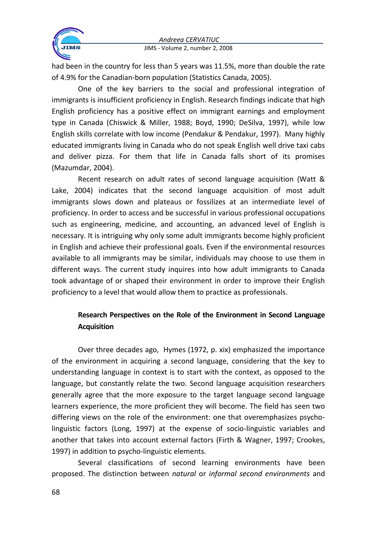

JIMS - Volume 2, number 2, 2008

had been in the country for less than 5 years was 11.5%, more than double the rate of 4.9% for the Canadian-born population (Statistics Canada, 2005).

One of the key barriers to the social and professional integration of immigrants is insufficient proficiency in English. Research findings indicate that high English proficiency has a positive effect on immigrant earnings and employment type in Canada (Chiswick & Miller, 1988; Boyd, 1990; DeSilva, 1997), while low English skills correlate with low income (Pendakur & Pendakur, 1997). Many highly educated immigrants living in Canada who do not speak English well drive taxi cabs and deliver pizza. For them that life in Canada falls short of its promises (Mazumdar, 2004).

Recent research on adult rates of second language acquisition (Watt & Lake, 2004) indicates that the second language acquisition of most adult immigrants slows down and plateaus or fossilizes at an intermediate level of proficiency. In order to access and be successful in various professional occupations such as engineering, medicine, and accounting, an advanced level of English is necessary. It is intriguing why only some adult immigrants become highly proficient in English and achieve their professional goals. Even if the environmental resources available to all immigrants may be similar, individuals may choose to use them in different ways. The current study inquires into how adult immigrants to Canada took advantage of or shaped their environment in order to improve their English proficiency to a level that would allow them to practice as professionals.

# **Research Perspectives on the Role of the Environment in Second Language Acquisition**

Over three decades ago, Hymes (1972, p. xix) emphasized the importance of the environment in acquiring a second language, considering that the key to understanding language in context is to start with the context, as opposed to the language, but constantly relate the two. Second language acquisition researchers generally agree that the more exposure to the target language second language learners experience, the more proficient they will become. The field has seen two differing views on the role of the environment: one that overemphasizes psycholinguistic factors (Long, 1997) at the expense of socio-linguistic variables and another that takes into account external factors (Firth & Wagner, 1997; Crookes, 1997) in addition to psycho-linguistic elements.

Several classifications of second learning environments have been proposed. The distinction between *natural* or *informal second environments* and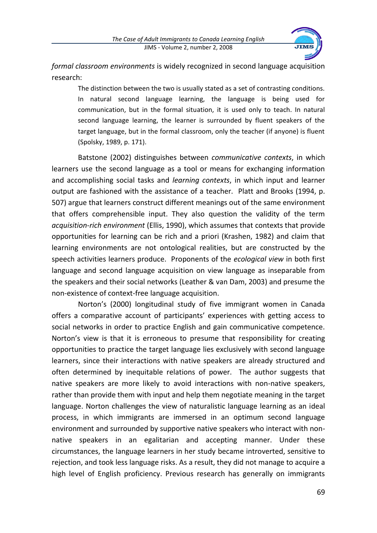

*formal classroom environments* is widely recognized in second language acquisition research:

The distinction between the two is usually stated as a set of contrasting conditions. In natural second language learning, the language is being used for communication, but in the formal situation, it is used only to teach. In natural second language learning, the learner is surrounded by fluent speakers of the target language, but in the formal classroom, only the teacher (if anyone) is fluent (Spolsky, 1989, p. 171).

Batstone (2002) distinguishes between *communicative contexts*, in which learners use the second language as a tool or means for exchanging information and accomplishing social tasks and *learning contexts*, in which input and learner output are fashioned with the assistance of a teacher. Platt and Brooks (1994, p. 507) argue that learners construct different meanings out of the same environment that offers comprehensible input. They also question the validity of the term *acquisition-rich environment* (Ellis, 1990), which assumes that contexts that provide opportunities for learning can be rich and a priori (Krashen, 1982) and claim that learning environments are not ontological realities, but are constructed by the speech activities learners produce. Proponents of the *ecological view* in both first language and second language acquisition on view language as inseparable from the speakers and their social networks (Leather & van Dam, 2003) and presume the non-existence of context-free language acquisition.

Norton's (2000) longitudinal study of five immigrant women in Canada offers a comparative account of participants' experiences with getting access to social networks in order to practice English and gain communicative competence. Norton's view is that it is erroneous to presume that responsibility for creating opportunities to practice the target language lies exclusively with second language learners, since their interactions with native speakers are already structured and often determined by inequitable relations of power. The author suggests that native speakers are more likely to avoid interactions with non-native speakers, rather than provide them with input and help them negotiate meaning in the target language. Norton challenges the view of naturalistic language learning as an ideal process, in which immigrants are immersed in an optimum second language environment and surrounded by supportive native speakers who interact with nonnative speakers in an egalitarian and accepting manner. Under these circumstances, the language learners in her study became introverted, sensitive to rejection, and took less language risks. As a result, they did not manage to acquire a high level of English proficiency. Previous research has generally on immigrants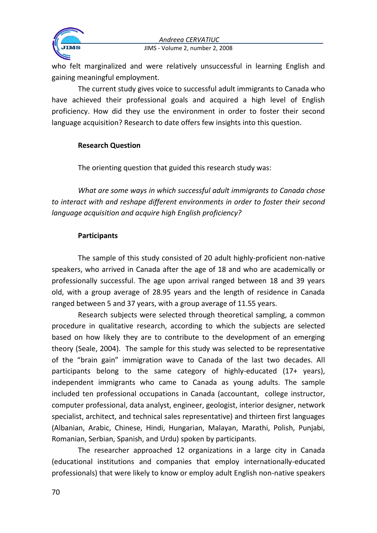

JIMS - Volume 2, number 2, 2008

who felt marginalized and were relatively unsuccessful in learning English and gaining meaningful employment.

The current study gives voice to successful adult immigrants to Canada who have achieved their professional goals and acquired a high level of English proficiency. How did they use the environment in order to foster their second language acquisition? Research to date offers few insights into this question.

# **Research Question**

The orienting question that guided this research study was:

*What are some ways in which successful adult immigrants to Canada chose to interact with and reshape different environments in order to foster their second language acquisition and acquire high English proficiency?*

# **Participants**

The sample of this study consisted of 20 adult highly-proficient non-native speakers, who arrived in Canada after the age of 18 and who are academically or professionally successful. The age upon arrival ranged between 18 and 39 years old, with a group average of 28.95 years and the length of residence in Canada ranged between 5 and 37 years, with a group average of 11.55 years.

Research subjects were selected through theoretical sampling, a common procedure in qualitative research, according to which the subjects are selected based on how likely they are to contribute to the development of an emerging theory (Seale, 2004). The sample for this study was selected to be representative of the "brain gain" immigration wave to Canada of the last two decades. All participants belong to the same category of highly-educated (17+ years), independent immigrants who came to Canada as young adults. The sample included ten professional occupations in Canada (accountant, college instructor, computer professional, data analyst, engineer, geologist, interior designer, network specialist, architect, and technical sales representative) and thirteen first languages (Albanian, Arabic, Chinese, Hindi, Hungarian, Malayan, Marathi, Polish, Punjabi, Romanian, Serbian, Spanish, and Urdu) spoken by participants.

The researcher approached 12 organizations in a large city in Canada (educational institutions and companies that employ internationally-educated professionals) that were likely to know or employ adult English non-native speakers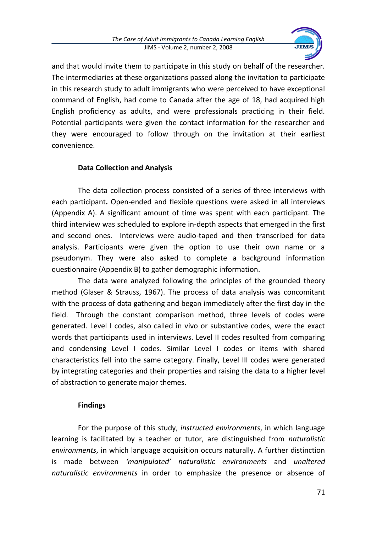

and that would invite them to participate in this study on behalf of the researcher*.* The intermediaries at these organizations passed along the invitation to participate in this research study to adult immigrants who were perceived to have exceptional command of English, had come to Canada after the age of 18, had acquired high English proficiency as adults, and were professionals practicing in their field. Potential participants were given the contact information for the researcher and they were encouraged to follow through on the invitation at their earliest convenience.

# **Data Collection and Analysis**

The data collection process consisted of a series of three interviews with each participant**.** Open-ended and flexible questions were asked in all interviews (Appendix A). A significant amount of time was spent with each participant. The third interview was scheduled to explore in-depth aspects that emerged in the first and second ones. Interviews were audio-taped and then transcribed for data analysis. Participants were given the option to use their own name or a pseudonym. They were also asked to complete a background information questionnaire (Appendix B) to gather demographic information.

The data were analyzed following the principles of the grounded theory method (Glaser & Strauss, 1967). The process of data analysis was concomitant with the process of data gathering and began immediately after the first day in the field. Through the constant comparison method, three levels of codes were generated. Level I codes, also called in vivo or substantive codes, were the exact words that participants used in interviews. Level II codes resulted from comparing and condensing Level I codes. Similar Level I codes or items with shared characteristics fell into the same category. Finally, Level III codes were generated by integrating categories and their properties and raising the data to a higher level of abstraction to generate major themes.

# **Findings**

For the purpose of this study, *instructed environments*, in which language learning is facilitated by a teacher or tutor, are distinguished from *naturalistic environments*, in which language acquisition occurs naturally. A further distinction is made between *'manipulated' naturalistic environments* and *unaltered naturalistic environments* in order to emphasize the presence or absence of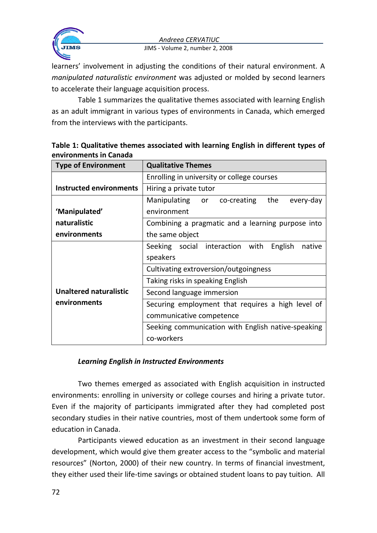

#### JIMS - Volume 2, number 2, 2008

learners' involvement in adjusting the conditions of their natural environment. A *manipulated naturalistic environment* was adjusted or molded by second learners to accelerate their language acquisition process.

Table 1 summarizes the qualitative themes associated with learning English as an adult immigrant in various types of environments in Canada, which emerged from the interviews with the participants.

| <b>Type of Environment</b>    | <b>Qualitative Themes</b>                             |  |
|-------------------------------|-------------------------------------------------------|--|
|                               | Enrolling in university or college courses            |  |
| Instructed environments       | Hiring a private tutor                                |  |
|                               | the<br>Manipulating<br>every-day<br>co-creating<br>or |  |
| 'Manipulated'                 | environment                                           |  |
| naturalistic                  | Combining a pragmatic and a learning purpose into     |  |
| environments                  | the same object                                       |  |
|                               | Seeking social interaction with<br>English<br>native  |  |
|                               | speakers                                              |  |
|                               | Cultivating extroversion/outgoingness                 |  |
|                               | Taking risks in speaking English                      |  |
| <b>Unaltered naturalistic</b> | Second language immersion                             |  |
| environments                  | Securing employment that requires a high level of     |  |
|                               | communicative competence                              |  |
|                               | Seeking communication with English native-speaking    |  |
|                               | co-workers                                            |  |

**Table 1: Qualitative themes associated with learning English in different types of environments in Canada**

### *Learning English in Instructed Environments*

Two themes emerged as associated with English acquisition in instructed environments: enrolling in university or college courses and hiring a private tutor. Even if the majority of participants immigrated after they had completed post secondary studies in their native countries, most of them undertook some form of education in Canada.

Participants viewed education as an investment in their second language development, which would give them greater access to the "symbolic and material resources" (Norton, 2000) of their new country. In terms of financial investment, they either used their life-time savings or obtained student loans to pay tuition. All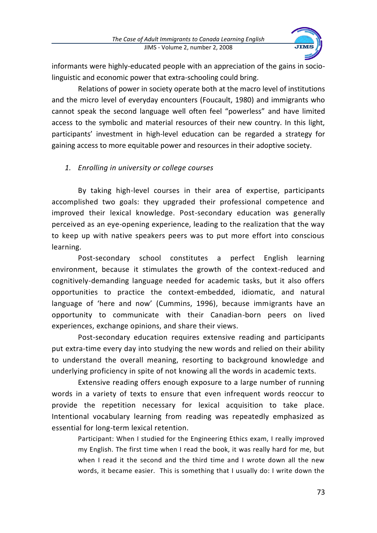

informants were highly-educated people with an appreciation of the gains in sociolinguistic and economic power that extra-schooling could bring.

Relations of power in society operate both at the macro level of institutions and the micro level of everyday encounters (Foucault, 1980) and immigrants who cannot speak the second language well often feel "powerless" and have limited access to the symbolic and material resources of their new country. In this light, participants' investment in high-level education can be regarded a strategy for gaining access to more equitable power and resources in their adoptive society.

# *1. Enrolling in university or college courses*

By taking high-level courses in their area of expertise, participants accomplished two goals: they upgraded their professional competence and improved their lexical knowledge. Post-secondary education was generally perceived as an eye-opening experience, leading to the realization that the way to keep up with native speakers peers was to put more effort into conscious learning.

Post-secondary school constitutes a perfect English learning environment, because it stimulates the growth of the context-reduced and cognitively-demanding language needed for academic tasks, but it also offers opportunities to practice the context-embedded, idiomatic, and natural language of 'here and now' (Cummins, 1996), because immigrants have an opportunity to communicate with their Canadian-born peers on lived experiences, exchange opinions, and share their views.

Post-secondary education requires extensive reading and participants put extra-time every day into studying the new words and relied on their ability to understand the overall meaning, resorting to background knowledge and underlying proficiency in spite of not knowing all the words in academic texts.

Extensive reading offers enough exposure to a large number of running words in a variety of texts to ensure that even infrequent words reoccur to provide the repetition necessary for lexical acquisition to take place. Intentional vocabulary learning from reading was repeatedly emphasized as essential for long-term lexical retention.

Participant: When I studied for the Engineering Ethics exam, I really improved my English. The first time when I read the book, it was really hard for me, but when I read it the second and the third time and I wrote down all the new words, it became easier. This is something that I usually do: I write down the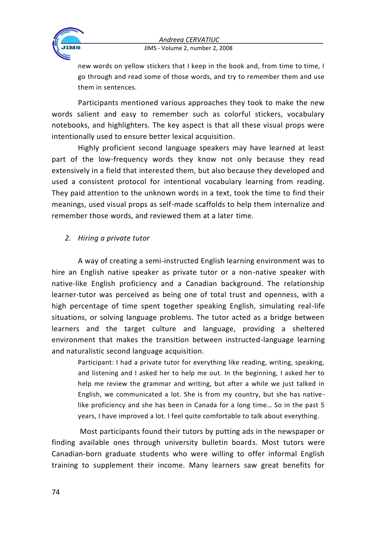



#### JIMS - Volume 2, number 2, 2008

new words on yellow stickers that I keep in the book and, from time to time, I go through and read some of those words, and try to remember them and use them in sentences.

Participants mentioned various approaches they took to make the new words salient and easy to remember such as colorful stickers, vocabulary notebooks, and highlighters. The key aspect is that all these visual props were intentionally used to ensure better lexical acquisition.

Highly proficient second language speakers may have learned at least part of the low-frequency words they know not only because they read extensively in a field that interested them, but also because they developed and used a consistent protocol for intentional vocabulary learning from reading. They paid attention to the unknown words in a text, took the time to find their meanings, used visual props as self-made scaffolds to help them internalize and remember those words, and reviewed them at a later time.

### *2. Hiring a private tutor*

A way of creating a semi-instructed English learning environment was to hire an English native speaker as private tutor or a non-native speaker with native-like English proficiency and a Canadian background. The relationship learner-tutor was perceived as being one of total trust and openness, with a high percentage of time spent together speaking English, simulating real-life situations, or solving language problems. The tutor acted as a bridge between learners and the target culture and language, providing a sheltered environment that makes the transition between instructed-language learning and naturalistic second language acquisition.

Participant: I had a private tutor for everything like reading, writing, speaking, and listening and I asked her to help me out. In the beginning, I asked her to help me review the grammar and writing, but after a while we just talked in English, we communicated a lot. She is from my country, but she has nativelike proficiency and she has been in Canada for a long time… So in the past 5 years, I have improved a lot. I feel quite comfortable to talk about everything.

Most participants found their tutors by putting ads in the newspaper or finding available ones through university bulletin boards. Most tutors were Canadian-born graduate students who were willing to offer informal English training to supplement their income. Many learners saw great benefits for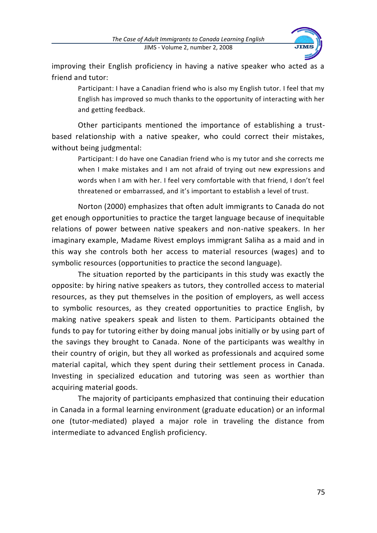

improving their English proficiency in having a native speaker who acted as a friend and tutor:

Participant: I have a Canadian friend who is also my English tutor. I feel that my English has improved so much thanks to the opportunity of interacting with her and getting feedback.

Other participants mentioned the importance of establishing a trustbased relationship with a native speaker, who could correct their mistakes, without being judgmental:

Participant: I do have one Canadian friend who is my tutor and she corrects me when I make mistakes and I am not afraid of trying out new expressions and words when I am with her. I feel very comfortable with that friend, I don't feel threatened or embarrassed, and it's important to establish a level of trust.

Norton (2000) emphasizes that often adult immigrants to Canada do not get enough opportunities to practice the target language because of inequitable relations of power between native speakers and non-native speakers. In her imaginary example, Madame Rivest employs immigrant Saliha as a maid and in this way she controls both her access to material resources (wages) and to symbolic resources (opportunities to practice the second language).

The situation reported by the participants in this study was exactly the opposite: by hiring native speakers as tutors, they controlled access to material resources, as they put themselves in the position of employers, as well access to symbolic resources, as they created opportunities to practice English, by making native speakers speak and listen to them. Participants obtained the funds to pay for tutoring either by doing manual jobs initially or by using part of the savings they brought to Canada. None of the participants was wealthy in their country of origin, but they all worked as professionals and acquired some material capital, which they spent during their settlement process in Canada. Investing in specialized education and tutoring was seen as worthier than acquiring material goods.

The majority of participants emphasized that continuing their education in Canada in a formal learning environment (graduate education) or an informal one (tutor-mediated) played a major role in traveling the distance from intermediate to advanced English proficiency.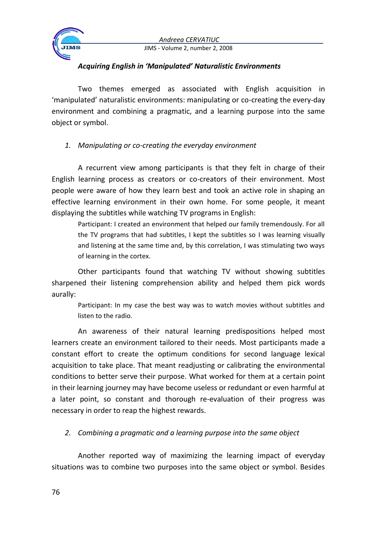

JIMS - Volume 2, number 2, 2008

### *Acquiring English in 'Manipulated' Naturalistic Environments*

Two themes emerged as associated with English acquisition in 'manipulated' naturalistic environments: manipulating or co-creating the every-day environment and combining a pragmatic, and a learning purpose into the same object or symbol.

# *1. Manipulating or co-creating the everyday environment*

A recurrent view among participants is that they felt in charge of their English learning process as creators or co-creators of their environment. Most people were aware of how they learn best and took an active role in shaping an effective learning environment in their own home. For some people, it meant displaying the subtitles while watching TV programs in English:

Participant: I created an environment that helped our family tremendously. For all the TV programs that had subtitles, I kept the subtitles so I was learning visually and listening at the same time and, by this correlation, I was stimulating two ways of learning in the cortex.

Other participants found that watching TV without showing subtitles sharpened their listening comprehension ability and helped them pick words aurally:

Participant: In my case the best way was to watch movies without subtitles and listen to the radio.

An awareness of their natural learning predispositions helped most learners create an environment tailored to their needs. Most participants made a constant effort to create the optimum conditions for second language lexical acquisition to take place. That meant readjusting or calibrating the environmental conditions to better serve their purpose. What worked for them at a certain point in their learning journey may have become useless or redundant or even harmful at a later point, so constant and thorough re-evaluation of their progress was necessary in order to reap the highest rewards.

# *2. Combining a pragmatic and a learning purpose into the same object*

Another reported way of maximizing the learning impact of everyday situations was to combine two purposes into the same object or symbol. Besides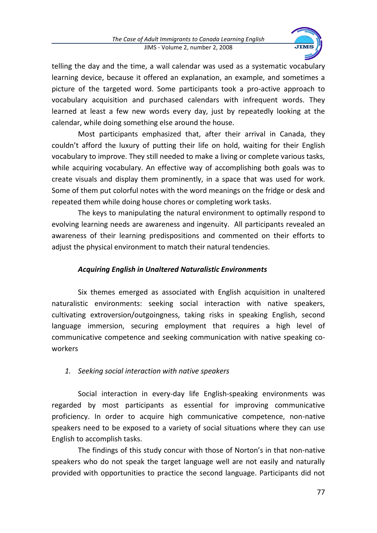

telling the day and the time, a wall calendar was used as a systematic vocabulary learning device, because it offered an explanation, an example, and sometimes a picture of the targeted word. Some participants took a pro-active approach to vocabulary acquisition and purchased calendars with infrequent words. They learned at least a few new words every day, just by repeatedly looking at the calendar, while doing something else around the house.

Most participants emphasized that, after their arrival in Canada, they couldn't afford the luxury of putting their life on hold, waiting for their English vocabulary to improve. They still needed to make a living or complete various tasks, while acquiring vocabulary. An effective way of accomplishing both goals was to create visuals and display them prominently, in a space that was used for work. Some of them put colorful notes with the word meanings on the fridge or desk and repeated them while doing house chores or completing work tasks.

The keys to manipulating the natural environment to optimally respond to evolving learning needs are awareness and ingenuity. All participants revealed an awareness of their learning predispositions and commented on their efforts to adjust the physical environment to match their natural tendencies.

# *Acquiring English in Unaltered Naturalistic Environments*

Six themes emerged as associated with English acquisition in unaltered naturalistic environments: seeking social interaction with native speakers, cultivating extroversion/outgoingness, taking risks in speaking English, second language immersion, securing employment that requires a high level of communicative competence and seeking communication with native speaking coworkers

# *1. Seeking social interaction with native speakers*

Social interaction in every-day life English-speaking environments was regarded by most participants as essential for improving communicative proficiency. In order to acquire high communicative competence, non-native speakers need to be exposed to a variety of social situations where they can use English to accomplish tasks.

The findings of this study concur with those of Norton's in that non-native speakers who do not speak the target language well are not easily and naturally provided with opportunities to practice the second language. Participants did not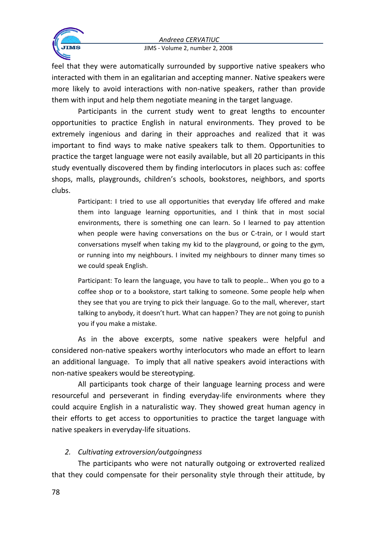

JIMS - Volume 2, number 2, 2008

feel that they were automatically surrounded by supportive native speakers who interacted with them in an egalitarian and accepting manner. Native speakers were more likely to avoid interactions with non-native speakers, rather than provide them with input and help them negotiate meaning in the target language.

Participants in the current study went to great lengths to encounter opportunities to practice English in natural environments. They proved to be extremely ingenious and daring in their approaches and realized that it was important to find ways to make native speakers talk to them. Opportunities to practice the target language were not easily available, but all 20 participants in this study eventually discovered them by finding interlocutors in places such as: coffee shops, malls, playgrounds, children's schools, bookstores, neighbors, and sports clubs.

Participant: I tried to use all opportunities that everyday life offered and make them into language learning opportunities, and I think that in most social environments, there is something one can learn. So I learned to pay attention when people were having conversations on the bus or C-train, or I would start conversations myself when taking my kid to the playground, or going to the gym, or running into my neighbours. I invited my neighbours to dinner many times so we could speak English.

Participant: To learn the language, you have to talk to people… When you go to a coffee shop or to a bookstore, start talking to someone. Some people help when they see that you are trying to pick their language. Go to the mall, wherever, start talking to anybody, it doesn't hurt. What can happen? They are not going to punish you if you make a mistake.

As in the above excerpts, some native speakers were helpful and considered non-native speakers worthy interlocutors who made an effort to learn an additional language. To imply that all native speakers avoid interactions with non-native speakers would be stereotyping.

All participants took charge of their language learning process and were resourceful and perseverant in finding everyday-life environments where they could acquire English in a naturalistic way. They showed great human agency in their efforts to get access to opportunities to practice the target language with native speakers in everyday-life situations.

# *2. Cultivating extroversion/outgoingness*

The participants who were not naturally outgoing or extroverted realized that they could compensate for their personality style through their attitude, by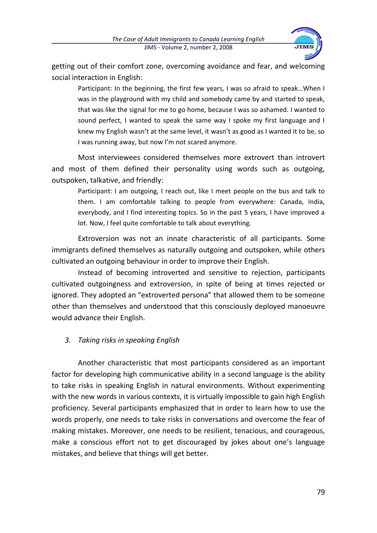

getting out of their comfort zone, overcoming avoidance and fear, and welcoming social interaction in English:

Participant: In the beginning, the first few years, I was so afraid to speak…When I was in the playground with my child and somebody came by and started to speak, that was like the signal for me to go home, because I was so ashamed. I wanted to sound perfect, I wanted to speak the same way I spoke my first language and I knew my English wasn't at the same level, it wasn't as good as I wanted it to be, so I was running away, but now I'm not scared anymore.

Most interviewees considered themselves more extrovert than introvert and most of them defined their personality using words such as outgoing, outspoken, talkative, and friendly:

Participant: I am outgoing, I reach out, like I meet people on the bus and talk to them. I am comfortable talking to people from everywhere: Canada, India, everybody, and I find interesting topics. So in the past 5 years, I have improved a lot. Now, I feel quite comfortable to talk about everything.

Extroversion was not an innate characteristic of all participants. Some immigrants defined themselves as naturally outgoing and outspoken, while others cultivated an outgoing behaviour in order to improve their English.

Instead of becoming introverted and sensitive to rejection, participants cultivated outgoingness and extroversion, in spite of being at times rejected or ignored. They adopted an "extroverted persona" that allowed them to be someone other than themselves and understood that this consciously deployed manoeuvre would advance their English.

# *3. Taking risks in speaking English*

Another characteristic that most participants considered as an important factor for developing high communicative ability in a second language is the ability to take risks in speaking English in natural environments. Without experimenting with the new words in various contexts, it is virtually impossible to gain high English proficiency. Several participants emphasized that in order to learn how to use the words properly, one needs to take risks in conversations and overcome the fear of making mistakes. Moreover, one needs to be resilient, tenacious, and courageous, make a conscious effort not to get discouraged by jokes about one's language mistakes, and believe that things will get better.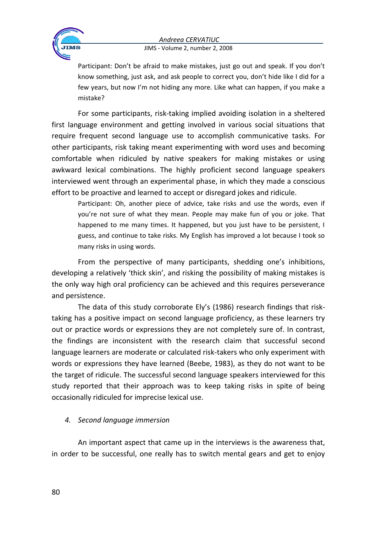

#### JIMS - Volume 2, number 2, 2008

Participant: Don't be afraid to make mistakes, just go out and speak. If you don't know something, just ask, and ask people to correct you, don't hide like I did for a few years, but now I'm not hiding any more. Like what can happen, if you make a mistake?

For some participants, risk-taking implied avoiding isolation in a sheltered first language environment and getting involved in various social situations that require frequent second language use to accomplish communicative tasks. For other participants, risk taking meant experimenting with word uses and becoming comfortable when ridiculed by native speakers for making mistakes or using awkward lexical combinations. The highly proficient second language speakers interviewed went through an experimental phase, in which they made a conscious effort to be proactive and learned to accept or disregard jokes and ridicule.

Participant: Oh, another piece of advice, take risks and use the words, even if you're not sure of what they mean. People may make fun of you or joke. That happened to me many times. It happened, but you just have to be persistent, I guess, and continue to take risks. My English has improved a lot because I took so many risks in using words.

From the perspective of many participants, shedding one's inhibitions, developing a relatively 'thick skin', and risking the possibility of making mistakes is the only way high oral proficiency can be achieved and this requires perseverance and persistence.

The data of this study corroborate Ely's (1986) research findings that risktaking has a positive impact on second language proficiency, as these learners try out or practice words or expressions they are not completely sure of. In contrast, the findings are inconsistent with the research claim that successful second language learners are moderate or calculated risk-takers who only experiment with words or expressions they have learned (Beebe, 1983), as they do not want to be the target of ridicule. The successful second language speakers interviewed for this study reported that their approach was to keep taking risks in spite of being occasionally ridiculed for imprecise lexical use.

### *4. Second language immersion*

An important aspect that came up in the interviews is the awareness that, in order to be successful, one really has to switch mental gears and get to enjoy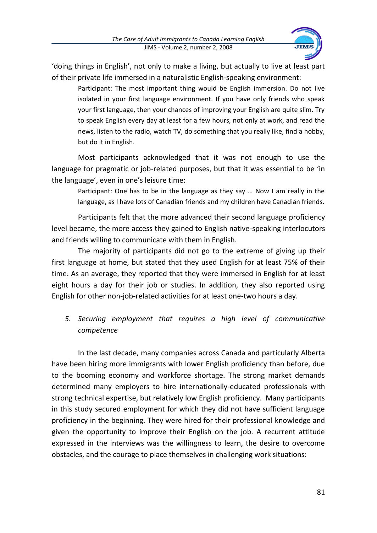

'doing things in English', not only to make a living, but actually to live at least part of their private life immersed in a naturalistic English-speaking environment:

Participant: The most important thing would be English immersion. Do not live isolated in your first language environment. If you have only friends who speak your first language, then your chances of improving your English are quite slim. Try to speak English every day at least for a few hours, not only at work, and read the news, listen to the radio, watch TV, do something that you really like, find a hobby, but do it in English.

Most participants acknowledged that it was not enough to use the language for pragmatic or job-related purposes, but that it was essential to be 'in the language', even in one's leisure time:

Participant: One has to be in the language as they say … Now I am really in the language, as I have lots of Canadian friends and my children have Canadian friends.

Participants felt that the more advanced their second language proficiency level became, the more access they gained to English native-speaking interlocutors and friends willing to communicate with them in English.

The majority of participants did not go to the extreme of giving up their first language at home, but stated that they used English for at least 75% of their time. As an average, they reported that they were immersed in English for at least eight hours a day for their job or studies. In addition, they also reported using English for other non-job-related activities for at least one-two hours a day.

# *5. Securing employment that requires a high level of communicative competence*

In the last decade, many companies across Canada and particularly Alberta have been hiring more immigrants with lower English proficiency than before, due to the booming economy and workforce shortage. The strong market demands determined many employers to hire internationally-educated professionals with strong technical expertise, but relatively low English proficiency. Many participants in this study secured employment for which they did not have sufficient language proficiency in the beginning. They were hired for their professional knowledge and given the opportunity to improve their English on the job. A recurrent attitude expressed in the interviews was the willingness to learn, the desire to overcome obstacles, and the courage to place themselves in challenging work situations: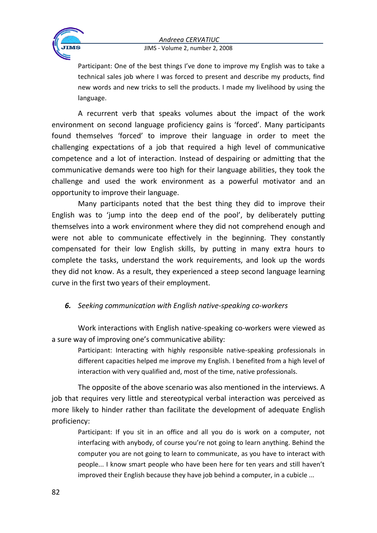

#### JIMS - Volume 2, number 2, 2008

Participant: One of the best things I've done to improve my English was to take a technical sales job where I was forced to present and describe my products, find new words and new tricks to sell the products. I made my livelihood by using the language.

A recurrent verb that speaks volumes about the impact of the work environment on second language proficiency gains is 'forced'. Many participants found themselves 'forced' to improve their language in order to meet the challenging expectations of a job that required a high level of communicative competence and a lot of interaction. Instead of despairing or admitting that the communicative demands were too high for their language abilities, they took the challenge and used the work environment as a powerful motivator and an opportunity to improve their language.

Many participants noted that the best thing they did to improve their English was to 'jump into the deep end of the pool', by deliberately putting themselves into a work environment where they did not comprehend enough and were not able to communicate effectively in the beginning. They constantly compensated for their low English skills, by putting in many extra hours to complete the tasks, understand the work requirements, and look up the words they did not know. As a result, they experienced a steep second language learning curve in the first two years of their employment.

### *6. Seeking communication with English native-speaking co-workers*

Work interactions with English native-speaking co-workers were viewed as a sure way of improving one's communicative ability:

Participant: Interacting with highly responsible native-speaking professionals in different capacities helped me improve my English. I benefited from a high level of interaction with very qualified and, most of the time, native professionals.

The opposite of the above scenario was also mentioned in the interviews. A job that requires very little and stereotypical verbal interaction was perceived as more likely to hinder rather than facilitate the development of adequate English proficiency:

Participant: If you sit in an office and all you do is work on a computer, not interfacing with anybody, of course you're not going to learn anything. Behind the computer you are not going to learn to communicate, as you have to interact with people... I know smart people who have been here for ten years and still haven't improved their English because they have job behind a computer, in a cubicle ...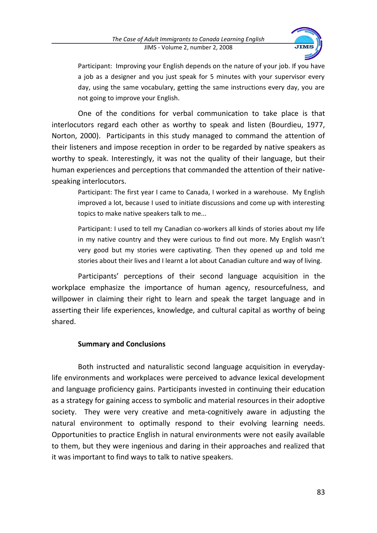

Participant: Improving your English depends on the nature of your job. If you have a job as a designer and you just speak for 5 minutes with your supervisor every day, using the same vocabulary, getting the same instructions every day, you are not going to improve your English.

One of the conditions for verbal communication to take place is that interlocutors regard each other as worthy to speak and listen (Bourdieu, 1977, Norton, 2000). Participants in this study managed to command the attention of their listeners and impose reception in order to be regarded by native speakers as worthy to speak. Interestingly, it was not the quality of their language, but their human experiences and perceptions that commanded the attention of their nativespeaking interlocutors.

Participant: The first year I came to Canada, I worked in a warehouse. My English improved a lot, because I used to initiate discussions and come up with interesting topics to make native speakers talk to me...

Participant: I used to tell my Canadian co-workers all kinds of stories about my life in my native country and they were curious to find out more. My English wasn't very good but my stories were captivating. Then they opened up and told me stories about their lives and I learnt a lot about Canadian culture and way of living.

Participants' perceptions of their second language acquisition in the workplace emphasize the importance of human agency, resourcefulness, and willpower in claiming their right to learn and speak the target language and in asserting their life experiences, knowledge, and cultural capital as worthy of being shared.

### **Summary and Conclusions**

Both instructed and naturalistic second language acquisition in everydaylife environments and workplaces were perceived to advance lexical development and language proficiency gains. Participants invested in continuing their education as a strategy for gaining access to symbolic and material resources in their adoptive society. They were very creative and meta-cognitively aware in adjusting the natural environment to optimally respond to their evolving learning needs. Opportunities to practice English in natural environments were not easily available to them, but they were ingenious and daring in their approaches and realized that it was important to find ways to talk to native speakers.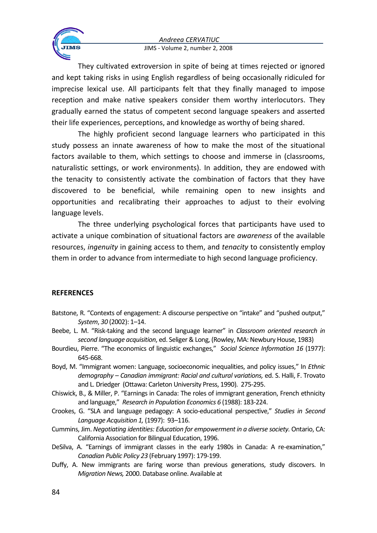

#### JIMS - Volume 2, number 2, 2008

They cultivated extroversion in spite of being at times rejected or ignored and kept taking risks in using English regardless of being occasionally ridiculed for imprecise lexical use. All participants felt that they finally managed to impose reception and make native speakers consider them worthy interlocutors. They gradually earned the status of competent second language speakers and asserted their life experiences, perceptions, and knowledge as worthy of being shared.

The highly proficient second language learners who participated in this study possess an innate awareness of how to make the most of the situational factors available to them, which settings to choose and immerse in (classrooms, naturalistic settings, or work environments). In addition, they are endowed with the tenacity to consistently activate the combination of factors that they have discovered to be beneficial, while remaining open to new insights and opportunities and recalibrating their approaches to adjust to their evolving language levels.

The three underlying psychological forces that participants have used to activate a unique combination of situational factors are *awareness* of the available resources, *ingenuity* in gaining access to them, and *tenacity* to consistently employ them in order to advance from intermediate to high second language proficiency.

#### **REFERENCES**

- Batstone, R. "Contexts of engagement: A discourse perspective on "intake" and "pushed output," *System*, *30* (2002): 1–14.
- Beebe, L. M. "Risk-taking and the second language learner" in *Classroom oriented research in second language acquisition*, ed. Seliger & Long, (Rowley, MA: Newbury House, 1983)
- Bourdieu, Pierre. "The economics of linguistic exchanges," *Social Science Information 16* (1977): 645-668.
- Boyd, M. "Immigrant women: Language, socioeconomic inequalities, and policy issues," In *Ethnic demography – Canadian immigrant: Racial and cultural variations,* ed. S. Halli, F. Trovato and L. Driedger (Ottawa: Carleton University Press, 1990). 275-295.
- Chiswick, B., & Miller, P. "Earnings in Canada: The roles of immigrant generation, French ethnicity and language," *Research in Population Economics 6* (1988): 183-224.
- Crookes, G. "SLA and language pedagogy: A socio-educational perspective," *Studies in Second Language Acquisition 1,* (1997): 93–116.
- Cummins, Jim. *Negotiating identities: Education for empowerment in a diverse society.* Ontario, CA: California Association for Bilingual Education, 1996.
- DeSilva, A. "Earnings of immigrant classes in the early 1980s in Canada: A re-examination," *Canadian Public Policy 23* (February 1997): 179-199.
- Duffy, A. New immigrants are faring worse than previous generations, study discovers. In *Migration News,* 2000. Database online. Available at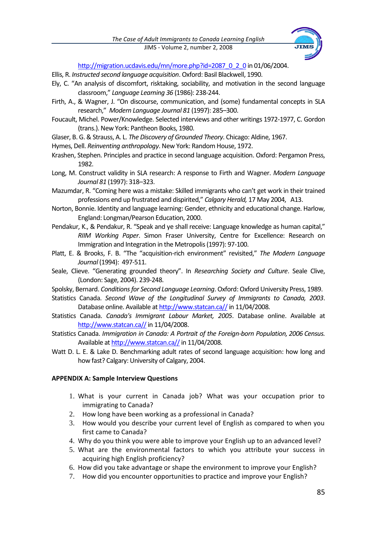

[http://migration.ucdavis.edu/mn/more.php?id=2087\\_0\\_2\\_0](http://migration.ucdavis.edu/mn/more.php?id=2087_0_2_0) in 01/06/2004.

- Ellis, R. *Instructed second language acquisition*. Oxford: Basil Blackwell, 1990.
- Ely, C. "An analysis of discomfort, risktaking, sociability, and motivation in the second language classroom," *Language Learning 36* (1986): 238-244.
- Firth, A., & Wagner, J. "On discourse, communication, and (some) fundamental concepts in SLA research," *Modern Language Journal 81* (1997): 285–300.
- Foucault, Michel. Power/Knowledge. Selected interviews and other writings 1972-1977, C. Gordon (trans.). New York: Pantheon Books, 1980.
- Glaser, B. G. & Strauss, A. L. *The Discovery of Grounded Theory*. Chicago: Aldine, 1967.
- Hymes, Dell. *Reinventing anthropology*. New York: Random House, 1972.
- Krashen, Stephen. Principles and practice in second language acquisition. Oxford: Pergamon Press, 1982.
- Long, M. Construct validity in SLA research: A response to Firth and Wagner. *Modern Language Journal 81* (1997): 318–323.
- Mazumdar, R. "Coming here was a mistake: Skilled immigrants who can't get work in their trained professions end up frustrated and dispirited," *Calgary Herald,* 17 May 2004, A13.
- Norton, Bonnie. Identity and language learning: Gender, ethnicity and educational change. Harlow, England: Longman/Pearson Education, 2000.
- Pendakur, K., & Pendakur, R. "Speak and ye shall receive: Language knowledge as human capital," *RIIM Working Paper*. Simon Fraser University, Centre for Excellence: Research on Immigration and Integration in the Metropolis (1997): 97-100.
- Platt, E. & Brooks, F. B. "The "acquisition-rich environment" revisited," *The Modern Language Journal* (1994): 497-511.
- Seale, Clieve. "Generating grounded theory". In *Researching Society and Culture*. Seale Clive, (London: Sage, 2004). 239-248.
- Spolsky, Bernard. *Conditions for Second Language Learning*. Oxford: Oxford University Press, 1989.
- Statistics Canada. *Second Wave of the Longitudinal Survey of Immigrants to Canada, 2003*. Database online. Available at http://www.statcan.ca// in 11/04/2008.
- Statistics Canada. *Canada's Immigrant Labour Market, 2005*. Database online. Available at http://www.statcan.ca// in 11/04/2008.
- Statistics Canada. *Immigration in Canada: A Portrait of the Foreign-born Population, 2006 Census.*  Available a[t http://www.statcan.ca//](http://www.statcan.ca/) in 11/04/2008.
- Watt D. L. E. & Lake D. Benchmarking adult rates of second language acquisition: how long and how fast? Calgary: University of Calgary, 2004.

#### **APPENDIX A: Sample Interview Questions**

- 1. What is your current in Canada job? What was your occupation prior to immigrating to Canada?
- 2. How long have been working as a professional in Canada?
- 3. How would you describe your current level of English as compared to when you first came to Canada?
- 4. Why do you think you were able to improve your English up to an advanced level?
- 5. What are the environmental factors to which you attribute your success in acquiring high English proficiency?
- 6. How did you take advantage or shape the environment to improve your English?
- 7. How did you encounter opportunities to practice and improve your English?